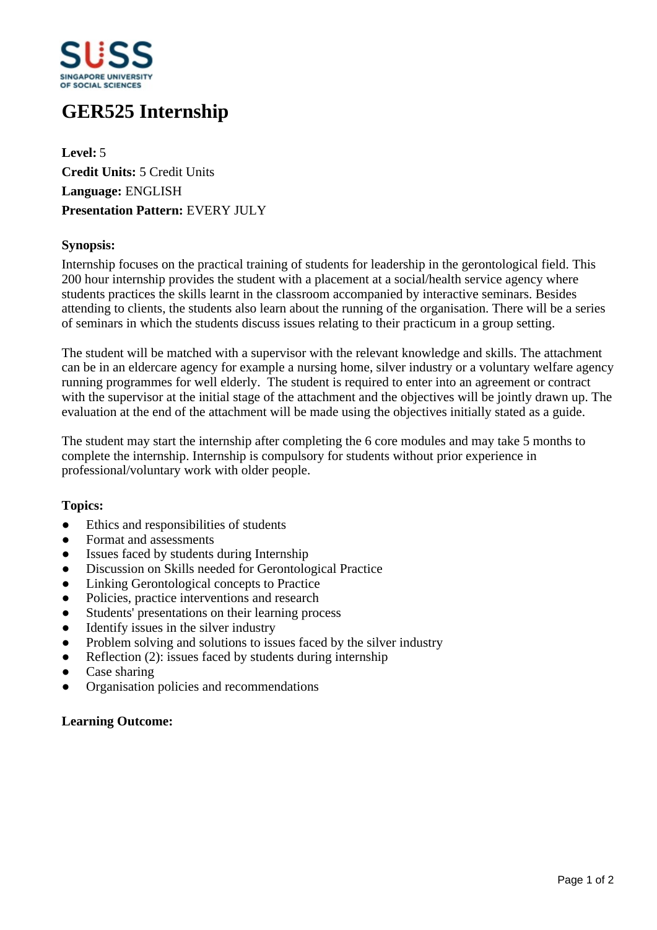

# **GER525 Internship**

**Level:** 5 **Credit Units:** 5 Credit Units **Language:** ENGLISH **Presentation Pattern:** EVERY JULY

# **Synopsis:**

Internship focuses on the practical training of students for leadership in the gerontological field. This 200 hour internship provides the student with a placement at a social/health service agency where students practices the skills learnt in the classroom accompanied by interactive seminars. Besides attending to clients, the students also learn about the running of the organisation. There will be a series of seminars in which the students discuss issues relating to their practicum in a group setting.

The student will be matched with a supervisor with the relevant knowledge and skills. The attachment can be in an eldercare agency for example a nursing home, silver industry or a voluntary welfare agency running programmes for well elderly. The student is required to enter into an agreement or contract with the supervisor at the initial stage of the attachment and the objectives will be jointly drawn up. The evaluation at the end of the attachment will be made using the objectives initially stated as a guide.

The student may start the internship after completing the 6 core modules and may take 5 months to complete the internship. Internship is compulsory for students without prior experience in professional/voluntary work with older people.

### **Topics:**

- Ethics and responsibilities of students
- Format and assessments
- Issues faced by students during Internship
- Discussion on Skills needed for Gerontological Practice
- Linking Gerontological concepts to Practice
- ƔPolicies, practice interventions and research
- Students' presentations on their learning process
- $\bullet$  Identify issues in the silver industry
- Problem solving and solutions to issues faced by the silver industry
- $\bullet$  Reflection (2): issues faced by students during internship
- Case sharing
- ƔOrganisation policies and recommendations

### **Learning Outcome:**